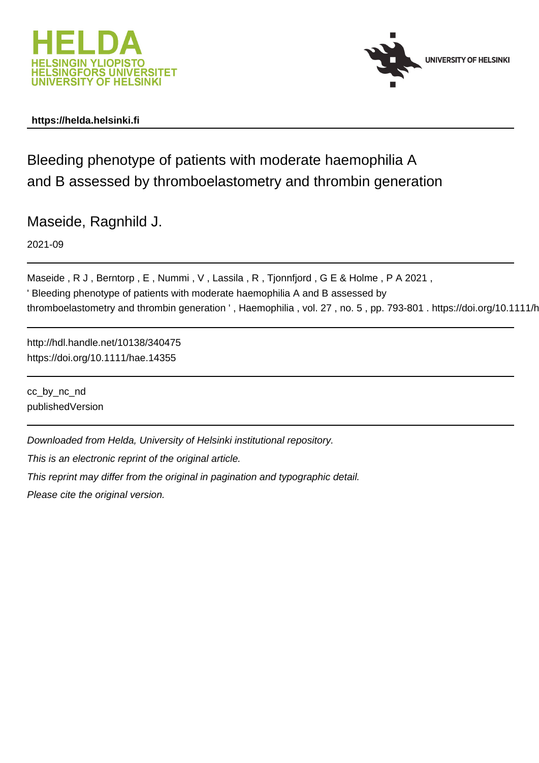



# **https://helda.helsinki.fi**

Bleeding phenotype of patients with moderate haemophilia A and B assessed by thromboelastometry and thrombin generation

Maseide, Ragnhild J.

2021-09

Maseide, R J, Berntorp, E, Nummi, V, Lassila, R, Tjonnfjord, G E & Holme, P A 2021, ' Bleeding phenotype of patients with moderate haemophilia A and B assessed by thromboelastometry and thrombin generation ', Haemophilia, vol. 27, no. 5, pp. 793-801. https://doi.org/10.1111/h

http://hdl.handle.net/10138/340475 https://doi.org/10.1111/hae.14355

cc\_by\_nc\_nd publishedVersion

Downloaded from Helda, University of Helsinki institutional repository.

This is an electronic reprint of the original article.

This reprint may differ from the original in pagination and typographic detail.

Please cite the original version.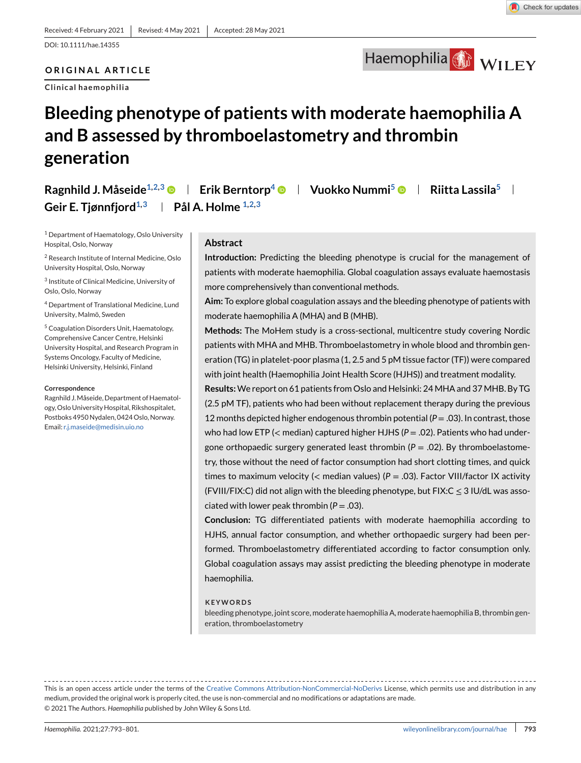Haemophilia WILEY

### **ORIGINAL ARTICLE**

**Clinical haemophilia**

# **Bleeding phenotype of patients with moderate haemophilia A and B assessed by thromboelastometry and thrombin generation**

**Ragnhild J. Måseide<sup>1,2,3</sup>**  $\bullet$  **| Erik Berntorp<sup>4</sup>**  $\bullet$  **| Vuokko Nummi<sup>5</sup>**  $\bullet$  **| Riitta Lassila<sup>5</sup> | Geir E. Tjønnfjord1,3 Pål A. Holme 1,2,3**

<sup>1</sup> Department of Haematology, Oslo University Hospital, Oslo, Norway

<sup>2</sup> Research Institute of Internal Medicine, Oslo University Hospital, Oslo, Norway

<sup>3</sup> Institute of Clinical Medicine, University of Oslo, Oslo, Norway

<sup>4</sup> Department of Translational Medicine, Lund University, Malmö, Sweden

<sup>5</sup> Coagulation Disorders Unit, Haematology, Comprehensive Cancer Centre, Helsinki University Hospital, and Research Program in Systems Oncology, Faculty of Medicine, Helsinki University, Helsinki, Finland

#### **Correspondence**

Ragnhild J.Måseide, Department of Haematology, Oslo University Hospital, Rikshospitalet, Postboks 4950 Nydalen, 0424 Oslo, Norway. Email: [r.j.maseide@medisin.uio.no](mailto:r.j.maseide@medisin.uio.no)

### **Abstract**

**Introduction:** Predicting the bleeding phenotype is crucial for the management of patients with moderate haemophilia. Global coagulation assays evaluate haemostasis more comprehensively than conventional methods.

**Aim:** To explore global coagulation assays and the bleeding phenotype of patients with moderate haemophilia A (MHA) and B (MHB).

**Methods:** The MoHem study is a cross-sectional, multicentre study covering Nordic patients with MHA and MHB. Thromboelastometry in whole blood and thrombin generation (TG) in platelet-poor plasma (1, 2.5 and 5 pM tissue factor (TF)) were compared with joint health (Haemophilia Joint Health Score (HJHS)) and treatment modality.

**Results:**We report on 61 patients from Oslo and Helsinki: 24 MHA and 37 MHB. By TG (2.5 pM TF), patients who had been without replacement therapy during the previous 12 months depicted higher endogenous thrombin potential (*P* = .03). In contrast, those who had low ETP (< median) captured higher HJHS ( $P = .02$ ). Patients who had undergone orthopaedic surgery generated least thrombin  $(P = .02)$ . By thromboelastometry, those without the need of factor consumption had short clotting times, and quick times to maximum velocity (< median values) (*P* = .03). Factor VIII/factor IX activity (FVIII/FIX:C) did not align with the bleeding phenotype, but FIX: $C < 3$  IU/dL was associated with lower peak thrombin  $(P = .03)$ .

**Conclusion:** TG differentiated patients with moderate haemophilia according to HJHS, annual factor consumption, and whether orthopaedic surgery had been performed. Thromboelastometry differentiated according to factor consumption only. Global coagulation assays may assist predicting the bleeding phenotype in moderate haemophilia.

#### **KEYWORDS**

bleeding phenotype, joint score, moderate haemophilia A, moderate haemophilia B, thrombin generation, thromboelastometry

This is an open access article under the terms of the [Creative Commons Attribution-NonCommercial-NoDerivs](http://creativecommons.org/licenses/by-nc-nd/4.0/) License, which permits use and distribution in any medium, provided the original work is properly cited, the use is non-commercial and no modifications or adaptations are made. © 2021 The Authors. *Haemophilia* published by John Wiley & Sons Ltd.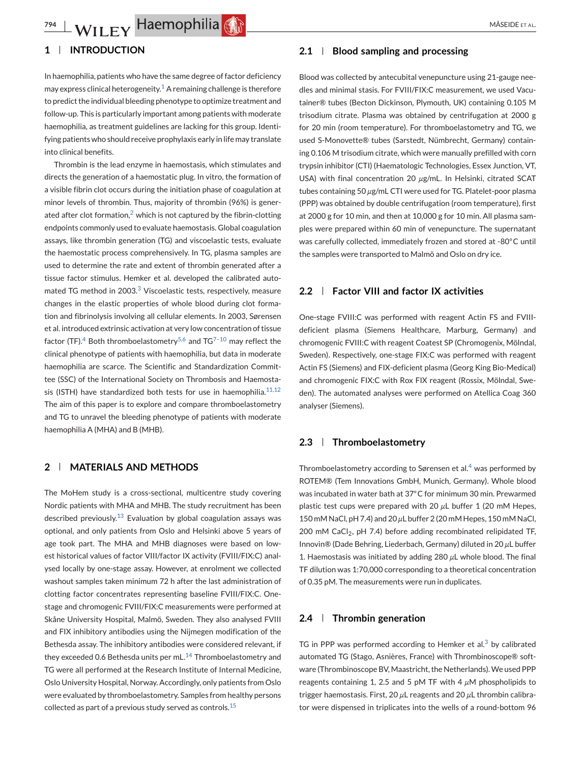# **1 INTRODUCTION**

In haemophilia, patients who have the same degree of factor deficiency may express clinical heterogeneity.<sup>1</sup> A remaining challenge is therefore to predict the individual bleeding phenotype to optimize treatment and follow-up. This is particularly important among patients with moderate haemophilia, as treatment guidelines are lacking for this group. Identifying patients who should receive prophylaxis early in life may translate into clinical benefits.

Thrombin is the lead enzyme in haemostasis, which stimulates and directs the generation of a haemostatic plug. In vitro, the formation of a visible fibrin clot occurs during the initiation phase of coagulation at minor levels of thrombin. Thus, majority of thrombin (96%) is generated after clot formation, $2$  which is not captured by the fibrin-clotting endpoints commonly used to evaluate haemostasis. Global coagulation assays, like thrombin generation (TG) and viscoelastic tests, evaluate the haemostatic process comprehensively. In TG, plasma samples are used to determine the rate and extent of thrombin generated after a tissue factor stimulus. Hemker et al. developed the calibrated automated TG method in 2003.<sup>3</sup> Viscoelastic tests, respectively, measure changes in the elastic properties of whole blood during clot formation and fibrinolysis involving all cellular elements. In 2003, Sørensen et al. introduced extrinsic activation at very low concentration of tissue factor (TF).<sup>4</sup> Both thromboelastometry<sup>5,6</sup> and TG<sup>7-10</sup> may reflect the clinical phenotype of patients with haemophilia, but data in moderate haemophilia are scarce. The Scientific and Standardization Committee (SSC) of the International Society on Thrombosis and Haemostasis (ISTH) have standardized both tests for use in haemophilia. $11,12$ The aim of this paper is to explore and compare thromboelastometry and TG to unravel the bleeding phenotype of patients with moderate haemophilia A (MHA) and B (MHB).

# **2 MATERIALS AND METHODS**

The MoHem study is a cross-sectional, multicentre study covering Nordic patients with MHA and MHB. The study recruitment has been described previously. $^{13}$  Evaluation by global coagulation assays was optional, and only patients from Oslo and Helsinki above 5 years of age took part. The MHA and MHB diagnoses were based on lowest historical values of factor VIII/factor IX activity (FVIII/FIX:C) analysed locally by one-stage assay. However, at enrolment we collected washout samples taken minimum 72 h after the last administration of clotting factor concentrates representing baseline FVIII/FIX:C. Onestage and chromogenic FVIII/FIX:C measurements were performed at Skåne University Hospital, Malmö, Sweden. They also analysed FVIII and FIX inhibitory antibodies using the Nijmegen modification of the Bethesda assay. The inhibitory antibodies were considered relevant, if they exceeded 0.6 Bethesda units per  $mL$ .<sup>14</sup> Thromboelastometry and TG were all performed at the Research Institute of Internal Medicine, Oslo University Hospital, Norway. Accordingly, only patients from Oslo were evaluated by thromboelastometry. Samples from healthy persons collected as part of a previous study served as controls.<sup>15</sup>

### **2.1 Blood sampling and processing**

Blood was collected by antecubital venepuncture using 21-gauge needles and minimal stasis. For FVIII/FIX:C measurement, we used Vacutainer® tubes (Becton Dickinson, Plymouth, UK) containing 0.105 M trisodium citrate. Plasma was obtained by centrifugation at 2000 g for 20 min (room temperature). For thromboelastometry and TG, we used S-Monovette® tubes (Sarstedt, Nümbrecht, Germany) containing 0.106 M trisodium citrate, which were manually prefilled with corn trypsin inhibitor (CTI) (Haematologic Technologies, Essex Junction, VT, USA) with final concentration 20  $\mu$ g/mL. In Helsinki, citrated SCAT tubes containing 50 *µ*g/mL CTI were used for TG. Platelet-poor plasma (PPP) was obtained by double centrifugation (room temperature), first at 2000 g for 10 min, and then at 10,000 g for 10 min. All plasma samples were prepared within 60 min of venepuncture. The supernatant was carefully collected, immediately frozen and stored at -80◦C until the samples were transported to Malmö and Oslo on dry ice.

### **2.2 Factor VIII and factor IX activities**

One-stage FVIII:C was performed with reagent Actin FS and FVIIIdeficient plasma (Siemens Healthcare, Marburg, Germany) and chromogenic FVIII:C with reagent Coatest SP (Chromogenix, Mölndal, Sweden). Respectively, one-stage FIX:C was performed with reagent Actin FS (Siemens) and FIX-deficient plasma (Georg King Bio-Medical) and chromogenic FIX:C with Rox FIX reagent (Rossix, Mölndal, Sweden). The automated analyses were performed on Atellica Coag 360 analyser (Siemens).

### **2.3 Thromboelastometry**

Thromboelastometry according to Sørensen et al. $4$  was performed by ROTEM® (Tem Innovations GmbH, Munich, Germany). Whole blood was incubated in water bath at 37◦C for minimum 30 min. Prewarmed plastic test cups were prepared with 20 *µ*L buffer 1 (20 mM Hepes, 150 mM NaCl, pH 7.4) and 20 *µ*L buffer 2 (20 mM Hepes, 150 mM NaCl, 200 mM CaCl<sub>2</sub>, pH 7.4) before adding recombinated relipidated TF, Innovin® (Dade Behring, Liederbach, Germany) diluted in 20 *µ*L buffer 1. Haemostasis was initiated by adding 280 *µ*L whole blood. The final TF dilution was 1:70,000 corresponding to a theoretical concentration of 0.35 pM. The measurements were run in duplicates.

### **2.4 Thrombin generation**

TG in PPP was performed according to Hemker et al. $3$  by calibrated automated TG (Stago, Asnières, France) with Thrombinoscope® software (Thrombinoscope BV, Maastricht, the Netherlands).We used PPP reagents containing 1, 2.5 and 5 pM TF with 4 *µ*M phospholipids to trigger haemostasis. First, 20 *µ*L reagents and 20 *µ*L thrombin calibrator were dispensed in triplicates into the wells of a round-bottom 96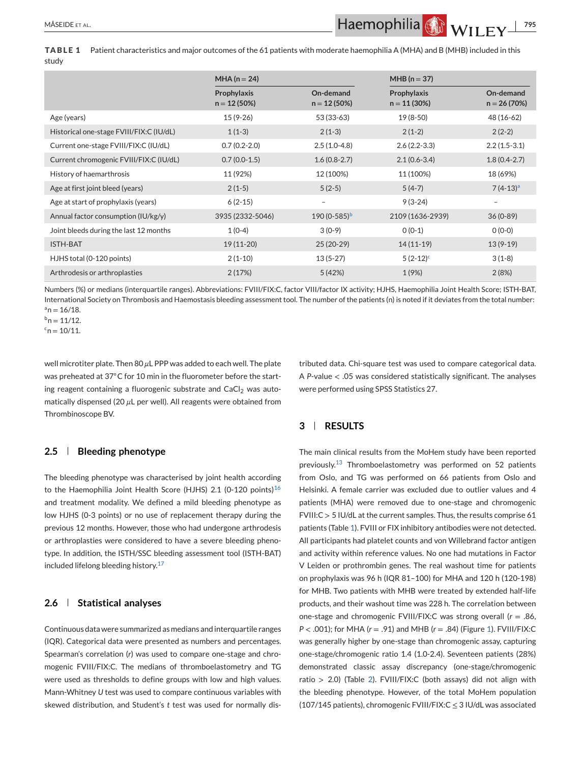**TABLE 1** Patient characteristics and major outcomes of the 61 patients with moderate haemophilia A (MHA) and B (MHB) included in this study

|                                          | MHA ( $n = 24$ )              |                            | $MHB (n = 37)$                |                            |  |
|------------------------------------------|-------------------------------|----------------------------|-------------------------------|----------------------------|--|
|                                          | Prophylaxis<br>$n = 12(50\%)$ | On-demand<br>$n = 12(50%)$ | Prophylaxis<br>$n = 11(30\%)$ | On-demand<br>$n = 26(70%)$ |  |
| Age (years)                              | $15(9-26)$                    | 53 (33-63)                 | 19 (8-50)                     | 48 (16-62)                 |  |
| Historical one-stage FVIII/FIX:C (IU/dL) | $1(1-3)$                      | $2(1-3)$                   | $2(1-2)$                      | $2(2-2)$                   |  |
| Current one-stage FVIII/FIX:C (IU/dL)    | $0.7(0.2-2.0)$                | $2.5(1.0-4.8)$             | $2.6(2.2-3.3)$                | $2.2(1.5-3.1)$             |  |
| Current chromogenic FVIII/FIX:C (IU/dL)  | $0.7(0.0-1.5)$                | $1.6(0.8-2.7)$             | $2.1(0.6-3.4)$                | $1.8(0.4-2.7)$             |  |
| History of haemarthrosis                 | 11 (92%)                      | 12 (100%)                  | 11 (100%)                     | 18 (69%)                   |  |
| Age at first joint bleed (years)         | $2(1-5)$                      | $5(2-5)$                   | $5(4-7)$                      | $7(4-13)a$                 |  |
| Age at start of prophylaxis (years)      | $6(2-15)$                     | $\qquad \qquad -$          | $9(3-24)$                     | $\overline{\phantom{m}}$   |  |
| Annual factor consumption (IU/kg/y)      | 3935 (2332-5046)              | $190(0-585)^{b}$           | 2109 (1636-2939)              | $36(0-89)$                 |  |
| Joint bleeds during the last 12 months   | $1(0-4)$                      | $3(0-9)$                   | $0(0-1)$                      | $0(0-0)$                   |  |
| <b>ISTH-BAT</b>                          | 19 (11-20)                    | $25(20-29)$                | $14(11-19)$                   | $13(9-19)$                 |  |
| HJHS total (0-120 points)                | $2(1-10)$                     | $13(5-27)$                 | $5(2-12)^c$                   | $3(1-8)$                   |  |
| Arthrodesis or arthroplasties            | 2(17%)                        | 5(42%)                     | 1(9%)                         | 2(8%)                      |  |

Numbers (%) or medians (interquartile ranges). Abbreviations: FVIII/FIX:C, factor VIII/factor IX activity; HJHS, Haemophilia Joint Health Score; ISTH-BAT, International Society on Thrombosis and Haemostasis bleeding assessment tool. The number of the patients (n) is noted if it deviates from the total number:  $a_n = 16/18$ .

 $b_n = 11/12$ .

 $c_n = 10/11$ .

well microtiter plate. Then 80 *µ*L PPP was added to each well. The plate was preheated at 37℃ for 10 min in the fluorometer before the starting reagent containing a fluorogenic substrate and  $CaCl<sub>2</sub>$  was automatically dispensed (20 *µ*L per well). All reagents were obtained from Thrombinoscope BV.

# **2.5 Bleeding phenotype**

The bleeding phenotype was characterised by joint health according to the Haemophilia Joint Health Score (HJHS) 2.1 (0-120 points)<sup>16</sup> and treatment modality. We defined a mild bleeding phenotype as low HJHS (0-3 points) or no use of replacement therapy during the previous 12 months. However, those who had undergone arthrodesis or arthroplasties were considered to have a severe bleeding phenotype. In addition, the ISTH/SSC bleeding assessment tool (ISTH-BAT) included lifelong bleeding history.<sup>17</sup>

### **2.6 Statistical analyses**

Continuous data were summarized as medians and interquartile ranges (IQR). Categorical data were presented as numbers and percentages. Spearman's correlation (*r*) was used to compare one-stage and chromogenic FVIII/FIX:C. The medians of thromboelastometry and TG were used as thresholds to define groups with low and high values. Mann-Whitney *U* test was used to compare continuous variables with skewed distribution, and Student's *t* test was used for normally distributed data. Chi-square test was used to compare categorical data. A *P*-value < .05 was considered statistically significant. The analyses were performed using SPSS Statistics 27.

# **3 RESULTS**

The main clinical results from the MoHem study have been reported previously.<sup>13</sup> Thromboelastometry was performed on 52 patients from Oslo, and TG was performed on 66 patients from Oslo and Helsinki. A female carrier was excluded due to outlier values and 4 patients (MHA) were removed due to one-stage and chromogenic FVIII:C > 5 IU/dL at the current samples. Thus, the results comprise 61 patients (Table 1). FVIII or FIX inhibitory antibodies were not detected. All participants had platelet counts and von Willebrand factor antigen and activity within reference values. No one had mutations in Factor V Leiden or prothrombin genes. The real washout time for patients on prophylaxis was 96 h (IQR 81–100) for MHA and 120 h (120-198) for MHB. Two patients with MHB were treated by extended half-life products, and their washout time was 228 h. The correlation between one-stage and chromogenic FVIII/FIX:C was strong overall (*r* = .86, *P* < .001); for MHA (*r* = .91) and MHB (*r* = .84) (Figure 1). FVIII/FIX:C was generally higher by one-stage than chromogenic assay, capturing one-stage/chromogenic ratio 1.4 (1.0-2.4). Seventeen patients (28%) demonstrated classic assay discrepancy (one-stage/chromogenic ratio > 2.0) (Table 2). FVIII/FIX:C (both assays) did not align with the bleeding phenotype. However, of the total MoHem population (107/145 patients), chromogenic FVIII/FIX:C ≤ 3 IU/dL was associated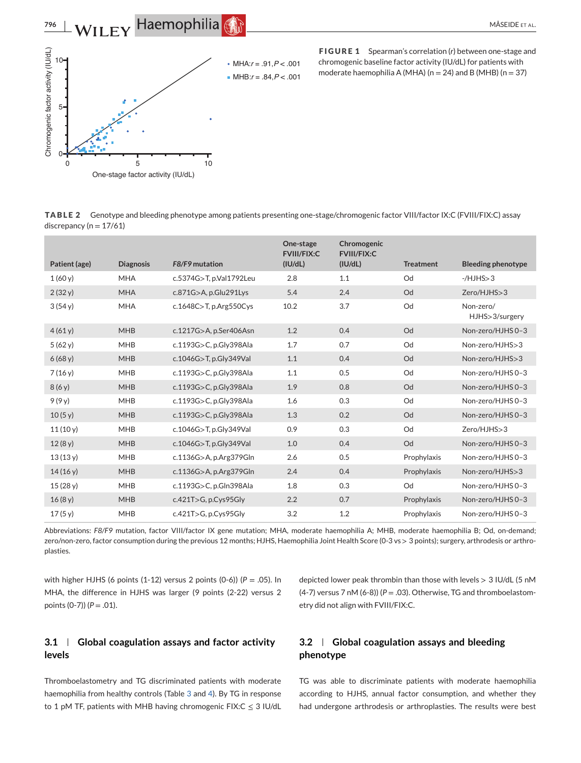

**FIGURE 1** Spearman's correlation (*r*) between one-stage and chromogenic baseline factor activity (IU/dL) for patients with moderate haemophilia A (MHA) ( $n = 24$ ) and B (MHB) ( $n = 37$ )

**TABLE 2** Genotype and bleeding phenotype among patients presenting one-stage/chromogenic factor VIII/factor IX:C (FVIII/FIX:C) assay discrepancy ( $n = 17/61$ )

| Patient (age) | <b>Diagnosis</b> | F8/F9 mutation              | One-stage<br><b>FVIII/FIX:C</b><br>(IU/dL) | Chromogenic<br><b>FVIII/FIX:C</b><br>(IU/dL) | <b>Treatment</b> | <b>Bleeding phenotype</b>   |
|---------------|------------------|-----------------------------|--------------------------------------------|----------------------------------------------|------------------|-----------------------------|
| 1(60y)        | <b>MHA</b>       | c.5374G>T, p.Val1792Leu     | 2.8                                        | 1.1                                          | Od               | $-HJHS > 3$                 |
| 2(32y)        | <b>MHA</b>       | $c.871G$ $>$ A, p.Glu291Lys | 5.4                                        | 2.4                                          | Od               | Zero/HJHS>3                 |
| 3(54y)        | <b>MHA</b>       | c.1648C $>$ T, p.Arg550Cys  | 10.2                                       | 3.7                                          | Od               | Non-zero/<br>HJHS>3/surgery |
| 4(61y)        | <b>MHB</b>       | c.1217G>A, p.Ser406Asn      | 1.2                                        | 0.4                                          | Od               | Non-zero/HJHS 0-3           |
| 5(62y)        | <b>MHB</b>       | c.1193G>C, p.Gly398Ala      | 1.7                                        | 0.7                                          | Od               | Non-zero/HJHS>3             |
| 6(68y)        | <b>MHB</b>       | c.1046G>T, p.Gly349Val      | 1.1                                        | 0.4                                          | Od               | Non-zero/HJHS>3             |
| 7(16 y)       | <b>MHB</b>       | c.1193G>C, p.Gly398Ala      | 1.1                                        | 0.5                                          | Od               | Non-zero/HJHS 0-3           |
| 8(6y)         | <b>MHB</b>       | c.1193G>C, p.Gly398Ala      | 1.9                                        | 0.8                                          | Od               | Non-zero/HJHS 0-3           |
| 9(9y)         | <b>MHB</b>       | c.1193G>C, p.Gly398Ala      | 1.6                                        | 0.3                                          | Od               | Non-zero/HJHS 0-3           |
| 10(5 y)       | <b>MHB</b>       | c.1193G>C, p.Gly398Ala      | 1.3                                        | 0.2                                          | Od               | Non-zero/HJHS 0-3           |
| 11(10y)       | <b>MHB</b>       | c.1046G>T, p.Gly349Val      | 0.9                                        | 0.3                                          | Od               | Zero/HJHS>3                 |
| 12(8 y)       | <b>MHB</b>       | c.1046G>T, p.Gly349Val      | 1.0                                        | 0.4                                          | Od               | Non-zero/HJHS 0-3           |
| 13(13y)       | <b>MHB</b>       | c.1136G>A, p.Arg379Gln      | 2.6                                        | 0.5                                          | Prophylaxis      | Non-zero/HJHS 0-3           |
| 14(16y)       | <b>MHB</b>       | c.1136G>A, p.Arg379Gln      | 2.4                                        | 0.4                                          | Prophylaxis      | Non-zero/HJHS>3             |
| 15(28 y)      | <b>MHB</b>       | c.1193G>C, p.Gln398Ala      | 1.8                                        | 0.3                                          | Od               | Non-zero/HJHS 0-3           |
| 16(8 y)       | <b>MHB</b>       | c.421T>G, p.Cys95Gly        | 2.2                                        | 0.7                                          | Prophylaxis      | Non-zero/HJHS 0-3           |
| 17(5 y)       | <b>MHB</b>       | c.421T>G, p.Cys95Gly        | 3.2                                        | 1.2                                          | Prophylaxis      | Non-zero/HJHS 0-3           |

Abbreviations: *F8/F9* mutation, factor VIII/factor IX gene mutation; MHA, moderate haemophilia A; MHB, moderate haemophilia B; Od, on-demand; zero/non-zero, factor consumption during the previous 12 months; HJHS, Haemophilia Joint Health Score (0-3 vs > 3 points); surgery, arthrodesis or arthroplasties.

with higher HJHS (6 points (1-12) versus 2 points (0-6)) (*P* = .05). In MHA, the difference in HJHS was larger (9 points (2-22) versus 2 points (0-7)) (*P* = .01).

depicted lower peak thrombin than those with levels  $> 3$  IU/dL (5 nM (4-7) versus 7 nM (6-8)) (*P* = .03). Otherwise, TG and thromboelastometry did not align with FVIII/FIX:C.

# **3.1 Global coagulation assays and factor activity levels**

Thromboelastometry and TG discriminated patients with moderate haemophilia from healthy controls (Table 3 and 4). By TG in response to 1 pM TF, patients with MHB having chromogenic FIX: $C \le 3$  IU/dL

# **3.2 Global coagulation assays and bleeding phenotype**

TG was able to discriminate patients with moderate haemophilia according to HJHS, annual factor consumption, and whether they had undergone arthrodesis or arthroplasties. The results were best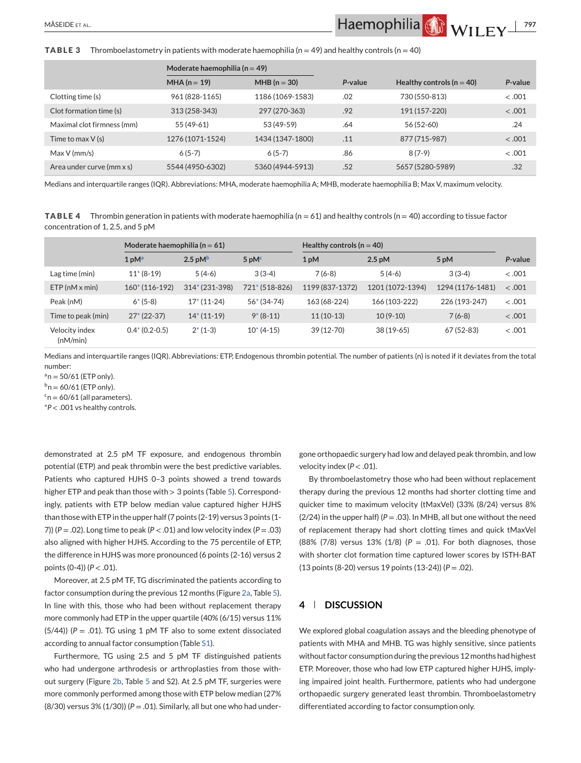**TABLE 3** Thromboelastometry in patients with moderate haemophilia ( $n = 49$ ) and healthy controls ( $n = 40$ )

|                            | Moderate haemophilia ( $n = 49$ ) |                  |         |                               |         |
|----------------------------|-----------------------------------|------------------|---------|-------------------------------|---------|
|                            | $MHA(n = 19)$                     | $MHB(n = 30)$    | P-value | Healthy controls ( $n = 40$ ) | P-value |
| Clotting time (s)          | 961 (828-1165)                    | 1186 (1069-1583) | .02     | 730 (550-813)                 | $-.001$ |
| Clot formation time (s)    | 313 (258-343)                     | 297 (270-363)    | .92     | 191 (157-220)                 | $-.001$ |
| Maximal clot firmness (mm) | 55 (49-61)                        | 53 (49-59)       | .64     | 56 (52-60)                    | .24     |
| Time to max $V(s)$         | 1276 (1071-1524)                  | 1434 (1347-1800) | .11     | 877 (715-987)                 | $-.001$ |
| $Max V$ (mm/s)             | $6(5-7)$                          | $6(5-7)$         | .86     | $8(7-9)$                      | $-.001$ |
| Area under curve (mm x s)  | 5544 (4950-6302)                  | 5360 (4944-5913) | .52     | 5657 (5280-5989)              | .32     |

Medians and interquartile ranges (IQR). Abbreviations: MHA, moderate haemophilia A; MHB, moderate haemophilia B; Max V, maximum velocity.

**TABLE 4** Thrombin generation in patients with moderate haemophilia (n = 61) and healthy controls (n = 40) according to tissue factor concentration of 1, 2.5, and 5 pM

|                            | Moderate haemophilia ( $n = 61$ ) |                             |                  | Healthy controls ( $n = 40$ ) |                  |                  |         |
|----------------------------|-----------------------------------|-----------------------------|------------------|-------------------------------|------------------|------------------|---------|
|                            | 1 <sub>p</sub> M <sup>a</sup>     | $2.5 \text{ pM}^{\text{b}}$ | 5pM <sup>c</sup> | 1 <sub>pM</sub>               | $2.5$ pM         | 5 pM             | P-value |
| Lag time (min)             | $11*(8-19)$                       | $5(4-6)$                    | $3(3-4)$         | $7(6-8)$                      | $5(4-6)$         | $3(3-4)$         | $-.001$ |
| $ETP(nM \times min)$       | $160*(116-192)$                   | 314* (231-398)              | 721* (518-826)   | 1199 (837-1372)               | 1201 (1072-1394) | 1294 (1176-1481) | < .001  |
| Peak (nM)                  | $6*(5-8)$                         | $17*(11-24)$                | $56*(34-74)$     | 163 (68-224)                  | 166 (103-222)    | 226 (193-247)    | $-.001$ |
| Time to peak (min)         | $27*(22-37)$                      | $14*(11-19)$                | $9*(8-11)$       | $11(10-13)$                   | $10(9-10)$       | $7(6-8)$         | < .001  |
| Velocity index<br>(nM/min) | $0.4*(0.2-0.5)$                   | $2*(1-3)$                   | $10*(4-15)$      | 39 (12-70)                    | $38(19-65)$      | 67 (52-83)       | $-.001$ |

Medians and interquartile ranges (IQR). Abbreviations: ETP, Endogenous thrombin potential. The number of patients (n) is noted if it deviates from the total number:

 $a_n = 50/61$  (ETP only).

 $b_n = 60/61$  (ETP only).

 $c_n = 60/61$  (all parameters).

\**P* < .001 vs healthy controls.

demonstrated at 2.5 pM TF exposure, and endogenous thrombin potential (ETP) and peak thrombin were the best predictive variables. Patients who captured HJHS 0–3 points showed a trend towards higher ETP and peak than those with > 3 points (Table 5). Correspondingly, patients with ETP below median value captured higher HJHS than those with ETP in the upper half (7 points (2-19) versus 3 points (1- 7))  $(P = .02)$ . Long time to peak  $(P < .01)$  and low velocity index  $(P = .03)$ also aligned with higher HJHS. According to the 75 percentile of ETP, the difference in HJHS was more pronounced (6 points (2-16) versus 2 points (0-4)) (*P* < .01).

Moreover, at 2.5 pM TF, TG discriminated the patients according to factor consumption during the previous 12 months (Figure 2a, Table 5). In line with this, those who had been without replacement therapy more commonly had ETP in the upper quartile (40% (6/15) versus 11% (5/44)) ( $P = .01$ ). TG using 1 pM TF also to some extent dissociated according to annual factor consumption (Table S1).

Furthermore, TG using 2.5 and 5 pM TF distinguished patients who had undergone arthrodesis or arthroplasties from those without surgery (Figure 2b, Table 5 and S2). At 2.5 pM TF, surgeries were more commonly performed among those with ETP below median (27% (8/30) versus 3% (1/30)) (*P* = .01). Similarly, all but one who had under-

gone orthopaedic surgery had low and delayed peak thrombin, and low velocity index (*P* < .01).

By thromboelastometry those who had been without replacement therapy during the previous 12 months had shorter clotting time and quicker time to maximum velocity (tMaxVel) (33% (8/24) versus 8% ( $2/24$ ) in the upper half) ( $P = .03$ ). In MHB, all but one without the need of replacement therapy had short clotting times and quick tMaxVel (88% (7/8) versus 13% (1/8) (*P* = .01). For both diagnoses, those with shorter clot formation time captured lower scores by ISTH-BAT (13 points (8-20) versus 19 points (13-24)) (*P* = .02).

### **4 DISCUSSION**

We explored global coagulation assays and the bleeding phenotype of patients with MHA and MHB. TG was highly sensitive, since patients without factor consumption during the previous 12 months had highest ETP. Moreover, those who had low ETP captured higher HJHS, implying impaired joint health. Furthermore, patients who had undergone orthopaedic surgery generated least thrombin. Thromboelastometry differentiated according to factor consumption only.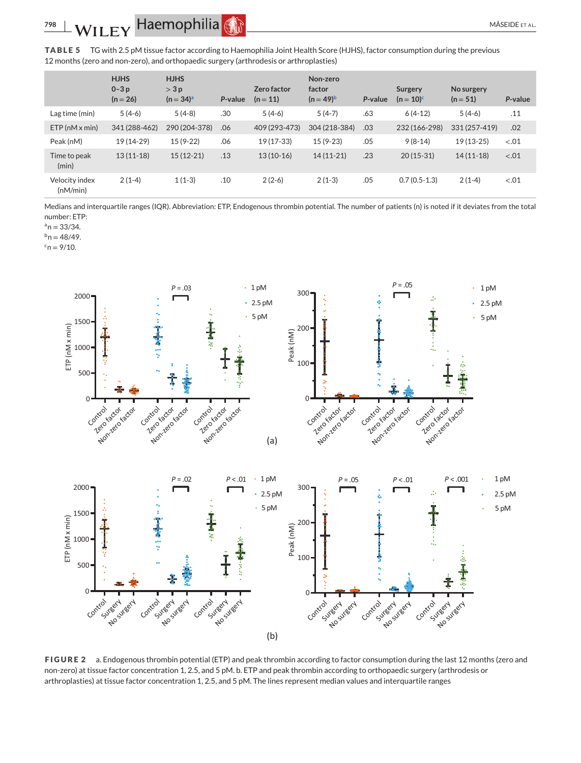**TABLE 5** TG with 2.5 pM tissue factor according to Haemophilia Joint Health Score (HJHS), factor consumption during the previous 12 months (zero and non-zero), and orthopaedic surgery (arthrodesis or arthroplasties)

|                            | <b>HJHS</b><br>$0 - 3p$<br>$(n = 26)$ | <b>HJHS</b><br>$>$ 3 p<br>$(n = 34)^{a}$ | P-value | Zero factor<br>$(n = 11)$ | Non-zero<br>factor<br>$(n = 49)^{b}$ | P-value | Surgery<br>$(n = 10)^{c}$ | No surgery<br>$(n = 51)$ | P-value |
|----------------------------|---------------------------------------|------------------------------------------|---------|---------------------------|--------------------------------------|---------|---------------------------|--------------------------|---------|
| Lag time (min)             | $5(4-6)$                              | $5(4-8)$                                 | .30     | $5(4-6)$                  | $5(4-7)$                             | .63     | $6(4-12)$                 | $5(4-6)$                 | .11     |
| $ETP(nM \times min)$       | 341 (288-462)                         | 290 (204-378)                            | .06     | 409 (293-473)             | 304 (218-384)                        | .03     | 232 (166-298)             | 331 (257-419)            | .02     |
| Peak (nM)                  | 19 (14-29)                            | $15(9-22)$                               | .06     | 19 (17-33)                | $15(9-23)$                           | .05     | $9(8-14)$                 | $19(13-25)$              | $-.01$  |
| Time to peak<br>(min)      | $13(11-18)$                           | $15(12-21)$                              | .13     | $13(10-16)$               | $14(11-21)$                          | .23     | $20(15-31)$               | $14(11-18)$              | $-.01$  |
| Velocity index<br>(nM/min) | $2(1-4)$                              | $1(1-3)$                                 | .10     | $2(2-6)$                  | $2(1-3)$                             | .05     | $0.7(0.5-1.3)$            | $2(1-4)$                 | $-.01$  |

Medians and interquartile ranges (IQR). Abbreviation: ETP, Endogenous thrombin potential. The number of patients (n) is noted if it deviates from the total number: ETP:

 $a_n = 33/34$ .

 $b_n = 48/49$ .

 $c_n = 9/10$ .



**FIGURE 2** a. Endogenous thrombin potential (ETP) and peak thrombin according to factor consumption during the last 12 months (zero and non-zero) at tissue factor concentration 1, 2.5, and 5 pM. b. ETP and peak thrombin according to orthopaedic surgery (arthrodesis or arthroplasties) at tissue factor concentration 1, 2.5, and 5 pM. The lines represent median values and interquartile ranges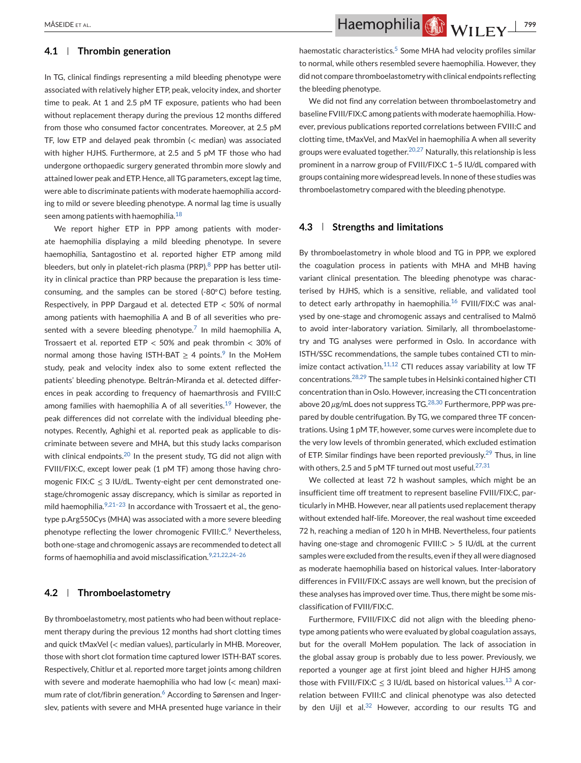### **4.1 Thrombin generation**

In TG, clinical findings representing a mild bleeding phenotype were associated with relatively higher ETP, peak, velocity index, and shorter time to peak. At 1 and 2.5 pM TF exposure, patients who had been without replacement therapy during the previous 12 months differed from those who consumed factor concentrates. Moreover, at 2.5 pM TF, low ETP and delayed peak thrombin (< median) was associated with higher HJHS. Furthermore, at 2.5 and 5 pM TF those who had undergone orthopaedic surgery generated thrombin more slowly and attained lower peak and ETP. Hence, all TG parameters, except lag time, were able to discriminate patients with moderate haemophilia according to mild or severe bleeding phenotype. A normal lag time is usually seen among patients with haemophilia. $18$ 

We report higher ETP in PPP among patients with moderate haemophilia displaying a mild bleeding phenotype. In severe haemophilia, Santagostino et al. reported higher ETP among mild bleeders, but only in platelet-rich plasma (PRP).<sup>8</sup> PPP has better utility in clinical practice than PRP because the preparation is less timeconsuming, and the samples can be stored (-80◦C) before testing. Respectively, in PPP Dargaud et al. detected ETP < 50% of normal among patients with haemophilia A and B of all severities who presented with a severe bleeding phenotype.<sup>7</sup> In mild haemophilia A, Trossaert et al. reported ETP < 50% and peak thrombin < 30% of normal among those having ISTH-BAT  $\geq$  4 points.<sup>9</sup> In the MoHem study, peak and velocity index also to some extent reflected the patients' bleeding phenotype. Beltrán-Miranda et al. detected differences in peak according to frequency of haemarthrosis and FVIII:C among families with haemophilia A of all severities.<sup>19</sup> However, the peak differences did not correlate with the individual bleeding phenotypes. Recently, Aghighi et al. reported peak as applicable to discriminate between severe and MHA, but this study lacks comparison with clinical endpoints.<sup>20</sup> In the present study, TG did not align with FVIII/FIX:C, except lower peak (1 pM TF) among those having chromogenic FIX: $C \leq 3$  IU/dL. Twenty-eight per cent demonstrated onestage/chromogenic assay discrepancy, which is similar as reported in mild haemophilia. $9,21-23$  In accordance with Trossaert et al., the genotype p.Arg550Cys (MHA) was associated with a more severe bleeding phenotype reflecting the lower chromogenic  $FVIII:C<sup>9</sup>$  Nevertheless, both one-stage and chromogenic assays are recommended to detect all forms of haemophilia and avoid misclassification. $9,21,22,24-26$ 

### **4.2 Thromboelastometry**

By thromboelastometry, most patients who had been without replacement therapy during the previous 12 months had short clotting times and quick tMaxVel (< median values), particularly in MHB. Moreover, those with short clot formation time captured lower ISTH-BAT scores. Respectively, Chitlur et al. reported more target joints among children with severe and moderate haemophilia who had low (< mean) maximum rate of clot/fibrin generation.<sup>6</sup> According to Sørensen and Ingerslev, patients with severe and MHA presented huge variance in their

MÅSEIDE ET AL. **1999 MASEIDE ET AL. 1999 MASEIDE ET AL. 1999 MASEIDE ET AL. 799** 

haemostatic characteristics.<sup>5</sup> Some MHA had velocity profiles similar to normal, while others resembled severe haemophilia. However, they did not compare thromboelastometry with clinical endpoints reflecting the bleeding phenotype.

We did not find any correlation between thromboelastometry and baseline FVIII/FIX:C among patients with moderate haemophilia. However, previous publications reported correlations between FVIII:C and clotting time, tMaxVel, and MaxVel in haemophilia A when all severity groups were evaluated together.<sup>20,27</sup> Naturally, this relationship is less prominent in a narrow group of FVIII/FIX:C 1–5 IU/dL compared with groups containing more widespread levels. In none of these studies was thromboelastometry compared with the bleeding phenotype.

# **4.3 Strengths and limitations**

By thromboelastometry in whole blood and TG in PPP, we explored the coagulation process in patients with MHA and MHB having variant clinical presentation. The bleeding phenotype was characterised by HJHS, which is a sensitive, reliable, and validated tool to detect early arthropathy in haemophilia. $16$  FVIII/FIX:C was analysed by one-stage and chromogenic assays and centralised to Malmö to avoid inter-laboratory variation. Similarly, all thromboelastometry and TG analyses were performed in Oslo. In accordance with ISTH/SSC recommendations, the sample tubes contained CTI to minimize contact activation. $11,12$  CTI reduces assay variability at low TF concentrations.28,29 The sample tubes in Helsinki contained higher CTI concentration than in Oslo. However, increasing the CTI concentration above 20 *μg*/mL does not suppress TG.<sup>28,30</sup> Furthermore, PPP was prepared by double centrifugation. By TG, we compared three TF concentrations. Using 1 pM TF, however, some curves were incomplete due to the very low levels of thrombin generated, which excluded estimation of ETP. Similar findings have been reported previously.<sup>29</sup> Thus, in line with others, 2.5 and 5 pM TF turned out most useful. $27,31$ 

We collected at least 72 h washout samples, which might be an insufficient time off treatment to represent baseline FVIII/FIX:C, particularly in MHB. However, near all patients used replacement therapy without extended half-life. Moreover, the real washout time exceeded 72 h, reaching a median of 120 h in MHB. Nevertheless, four patients having one-stage and chromogenic FVIII: $C > 5$  IU/dL at the current samples were excluded from the results, even if they all were diagnosed as moderate haemophilia based on historical values. Inter-laboratory differences in FVIII/FIX:C assays are well known, but the precision of these analyses has improved over time. Thus, there might be some misclassification of FVIII/FIX:C.

Furthermore, FVIII/FIX:C did not align with the bleeding phenotype among patients who were evaluated by global coagulation assays, but for the overall MoHem population. The lack of association in the global assay group is probably due to less power. Previously, we reported a younger age at first joint bleed and higher HJHS among those with FVIII/FIX:C  $\leq$  3 IU/dL based on historical values.<sup>13</sup> A correlation between FVIII:C and clinical phenotype was also detected by den Uijl et al. $32$  However, according to our results TG and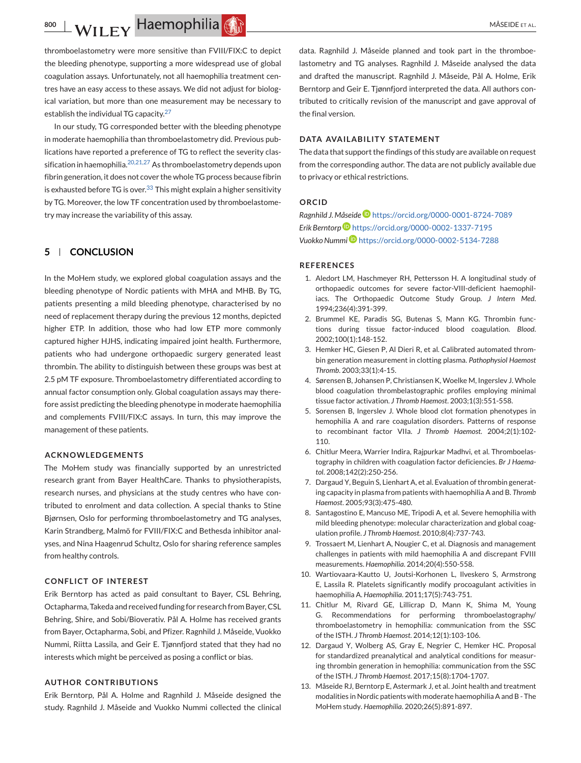thromboelastometry were more sensitive than FVIII/FIX:C to depict the bleeding phenotype, supporting a more widespread use of global coagulation assays. Unfortunately, not all haemophilia treatment centres have an easy access to these assays. We did not adjust for biological variation, but more than one measurement may be necessary to establish the individual TG capacity. $27$ 

In our study, TG corresponded better with the bleeding phenotype in moderate haemophilia than thromboelastometry did. Previous publications have reported a preference of TG to reflect the severity classification in haemophilia.<sup>20,21,27</sup> As thromboelastometry depends upon fibrin generation, it does not cover the whole TG process because fibrin is exhausted before TG is over.  $33$  This might explain a higher sensitivity by TG. Moreover, the low TF concentration used by thromboelastometry may increase the variability of this assay.

### **5 CONCLUSION**

In the MoHem study, we explored global coagulation assays and the bleeding phenotype of Nordic patients with MHA and MHB. By TG, patients presenting a mild bleeding phenotype, characterised by no need of replacement therapy during the previous 12 months, depicted higher ETP. In addition, those who had low ETP more commonly captured higher HJHS, indicating impaired joint health. Furthermore, patients who had undergone orthopaedic surgery generated least thrombin. The ability to distinguish between these groups was best at 2.5 pM TF exposure. Thromboelastometry differentiated according to annual factor consumption only. Global coagulation assays may therefore assist predicting the bleeding phenotype in moderate haemophilia and complements FVIII/FIX:C assays. In turn, this may improve the management of these patients.

### **ACKNOWLEDGEMENTS**

The MoHem study was financially supported by an unrestricted research grant from Bayer HealthCare. Thanks to physiotherapists, research nurses, and physicians at the study centres who have contributed to enrolment and data collection. A special thanks to Stine Bjørnsen, Oslo for performing thromboelastometry and TG analyses, Karin Strandberg, Malmö for FVIII/FIX:C and Bethesda inhibitor analyses, and Nina Haagenrud Schultz, Oslo for sharing reference samples from healthy controls.

# **CONFLICT OF INTEREST**

Erik Berntorp has acted as paid consultant to Bayer, CSL Behring, Octapharma, Takeda and received funding for research from Bayer, CSL Behring, Shire, and Sobi/Bioverativ. Pål A. Holme has received grants from Bayer, Octapharma, Sobi, and Pfizer. Ragnhild J. Måseide, Vuokko Nummi, Riitta Lassila, and Geir E. Tjønnfjord stated that they had no interests which might be perceived as posing a conflict or bias.

### **AUTHOR CONTRIBUTIONS**

Erik Berntorp, Pål A. Holme and Ragnhild J. Måseide designed the study. Ragnhild J. Måseide and Vuokko Nummi collected the clinical

data. Ragnhild J. Måseide planned and took part in the thromboelastometry and TG analyses. Ragnhild J. Måseide analysed the data and drafted the manuscript. Ragnhild J. Måseide, Pål A. Holme, Erik Berntorp and Geir E. Tjønnfjord interpreted the data. All authors contributed to critically revision of the manuscript and gave approval of the final version.

### **DATA AVAILABILITY STATEMENT**

The data that support the findings of this study are available on request from the corresponding author. The data are not publicly available due to privacy or ethical restrictions.

### **ORCID**

*Ragnhild J. Måseide* <https://orcid.org/0000-0001-8724-7089> *Erik Berntorp* <https://orcid.org/0000-0002-1337-7195> *Vuokko Nummi* <https://orcid.org/0000-0002-5134-7288>

#### **REFERENCES**

- 1. Aledort LM, Haschmeyer RH, Pettersson H. A longitudinal study of orthopaedic outcomes for severe factor-VIII-deficient haemophiliacs. The Orthopaedic Outcome Study Group. *J Intern Med*. 1994;236(4):391-399.
- 2. Brummel KE, Paradis SG, Butenas S, Mann KG. Thrombin functions during tissue factor-induced blood coagulation. *Blood*. 2002;100(1):148-152.
- 3. Hemker HC, Giesen P, Al Dieri R, et al. Calibrated automated thrombin generation measurement in clotting plasma. *Pathophysiol Haemost Thromb*. 2003;33(1):4-15.
- 4. Sørensen B, Johansen P, Christiansen K, Woelke M, Ingerslev J. Whole blood coagulation thrombelastographic profiles employing minimal tissue factor activation. *J Thromb Haemost*. 2003;1(3):551-558.
- 5. Sorensen B, Ingerslev J. Whole blood clot formation phenotypes in hemophilia A and rare coagulation disorders. Patterns of response to recombinant factor VIIa. *J Thromb Haemost*. 2004;2(1):102- 110.
- 6. Chitlur Meera, Warrier Indira, Rajpurkar Madhvi, et al. Thromboelastography in children with coagulation factor deficiencies. *Br J Haematol*. 2008;142(2):250-256.
- 7. Dargaud Y, Beguin S, Lienhart A, et al. Evaluation of thrombin generating capacity in plasma from patients with haemophilia A and B. *Thromb Haemost*. 2005;93(3):475-480.
- 8. Santagostino E, Mancuso ME, Tripodi A, et al. Severe hemophilia with mild bleeding phenotype: molecular characterization and global coagulation profile. *J Thromb Haemost*. 2010;8(4):737-743.
- 9. Trossaert M, Lienhart A, Nougier C, et al. Diagnosis and management challenges in patients with mild haemophilia A and discrepant FVIII measurements. *Haemophilia*. 2014;20(4):550-558.
- 10. Wartiovaara-Kautto U, Joutsi-Korhonen L, Ilveskero S, Armstrong E, Lassila R. Platelets significantly modify procoagulant activities in haemophilia A. *Haemophilia*. 2011;17(5):743-751.
- 11. Chitlur M, Rivard GE, Lillicrap D, Mann K, Shima M, Young G. Recommendations for performing thromboelastography/ thromboelastometry in hemophilia: communication from the SSC of the ISTH. *J Thromb Haemost*. 2014;12(1):103-106.
- 12. Dargaud Y, Wolberg AS, Gray E, Negrier C, Hemker HC. Proposal for standardized preanalytical and analytical conditions for measuring thrombin generation in hemophilia: communication from the SSC of the ISTH. *J Thromb Haemost*. 2017;15(8):1704-1707.
- 13. Måseide RJ, Berntorp E, Astermark J, et al. Joint health and treatment modalities in Nordic patients with moderate haemophilia A and B - The MoHem study. *Haemophilia*. 2020;26(5):891-897.